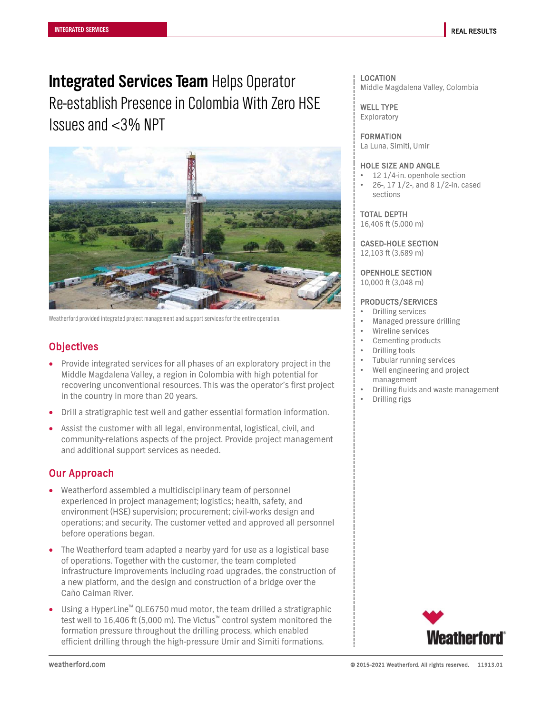# **Integrated Services Team** Helps Operator Re-establish Presence in Colombia With Zero HSE Issues and <3% NPT



Weatherford provided integrated project management and support services for the entire operation.

# **Objectives**

- Provide integrated services for all phases of an exploratory project in the Middle Magdalena Valley, a region in Colombia with high potential for recovering unconventional resources. This was the operator's first project in the country in more than 20 years.
- Drill a stratigraphic test well and gather essential formation information.
- Assist the customer with all legal, environmental, logistical, civil, and community-relations aspects of the project. Provide project management and additional support services as needed.

## Our Approach

- Weatherford assembled a multidisciplinary team of personnel experienced in project management; logistics; health, safety, and environment (HSE) supervision; procurement; civil-works design and operations; and security. The customer vetted and approved all personnel before operations began.
- The Weatherford team adapted a nearby yard for use as a logistical base of operations. Together with the customer, the team completed infrastructure improvements including road upgrades, the construction of a new platform, and the design and construction of a bridge over the Caño Caiman River.
- Using a HyperLine<sup>™</sup> QLE6750 mud motor, the team drilled a stratigraphic test well to 16,406 ft (5,000 m). The Victus™ control system monitored the formation pressure throughout the drilling process, which enabled efficient drilling through the high-pressure Umir and Simiti formations.

### LOCATION Middle Magdalena Valley, Colombia

WELL TYPE Exploratory

FORMATION La Luna, Simiti, Umir

#### HOLE SIZE AND ANGLE

- 12 1/4-in. openhole section
- 26-, 17 1/2-, and 8 1/2-in. cased sections

TOTAL DEPTH

16,406 ft (5,000 m)

CASED-HOLE SECTION

12,103 ft (3,689 m)

OPENHOLE SECTION

10,000 ft (3,048 m)

### PRODUCTS/SERVICES

- Drilling services
- Managed pressure drilling
- Wireline services
- Cementing products
- Drilling tools
- Tubular running services
- Well engineering and project management
- Drilling fluids and waste management
- Drilling rigs